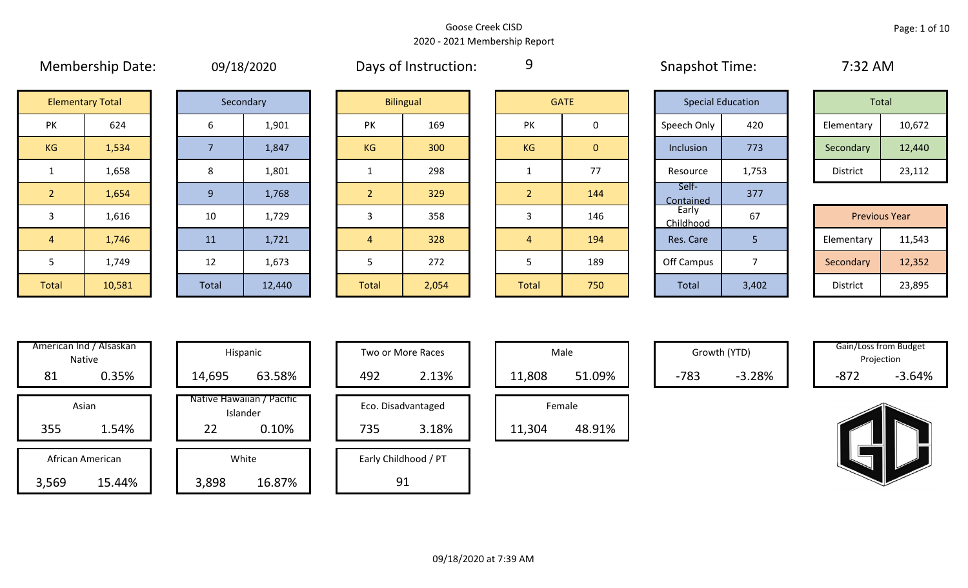9

# **Elementary Total**

|    | Secondary |
|----|-----------|
| 6  | 1,901     |
| 7  | 1,847     |
| 8  | 1,801     |
| 9  | 1,768     |
| 10 | 1,729     |
| 11 | 1,721     |

|                | <b>Elementary Total</b> |  |       | Secondary |  |                | <b>Bilingual</b> |                | <b>GATE</b>  | <b>Special Education</b> |       | Total                |        |
|----------------|-------------------------|--|-------|-----------|--|----------------|------------------|----------------|--------------|--------------------------|-------|----------------------|--------|
| PK             | 624                     |  | 6     | 1,901     |  | 169<br>PK      |                  | PK             | $\mathbf 0$  | Speech Only              | 420   | Elementary           | 10,672 |
| KG             | 1,534                   |  |       | 1,847     |  | KG             | 300              | KG             | $\mathbf{0}$ | Inclusion                | 773   | Secondary            | 12,440 |
|                | 1,658                   |  | 8     | 1,801     |  |                | 298              |                | 77           | Resource                 | 1,753 | District             | 23,112 |
| $\overline{2}$ | 1,654                   |  | 9     | 1,768     |  | $\overline{2}$ | 329              | $\overline{2}$ | 144          | Self-<br>Contained       | 377   |                      |        |
| 3              | 1,616                   |  | 10    | 1,729     |  | 3              | 358              | 3              | 146          | Early<br>Childhood       | 67    | <b>Previous Year</b> |        |
| $\overline{4}$ | 1,746                   |  | 11    | 1,721     |  | $\overline{4}$ | 328              | 4              | 194          | Res. Care                | 5     | Elementary           | 11,543 |
| 5              | 1,749                   |  | 12    | 1,673     |  |                | 272              |                | 189          | Off Campus               | ⇁     | Secondary            | 12,352 |
| Total          | 10,581                  |  | Total | 12,440    |  | Total          | 2,054            | Total          | 750          | Total                    | 3,402 | District             | 23,895 |

|                | <b>GATE</b> |
|----------------|-------------|
| PK             | 0           |
| KG             | $\mathbf 0$ |
| 1              | 77          |
| $\overline{a}$ | 144         |
| 3              | 146         |
| 4              | 194         |
| 5              | 189         |
| <b>Total</b>   | 750         |

| <b>Special Education</b>  |       | <b>Total</b>         |        |  |  |  |  |  |  |
|---------------------------|-------|----------------------|--------|--|--|--|--|--|--|
| Speech Only               | 420   | Elementary           | 10,672 |  |  |  |  |  |  |
| Inclusion                 | 773   | Secondary            | 12,440 |  |  |  |  |  |  |
| Resource                  | 1,753 | <b>District</b>      | 23,112 |  |  |  |  |  |  |
| Self-<br><b>Contained</b> | 377   |                      |        |  |  |  |  |  |  |
| Early<br>Childhood        | 67    | <b>Previous Year</b> |        |  |  |  |  |  |  |
| Res. Care                 | 5     | Elementary           | 11,543 |  |  |  |  |  |  |
| Off Campus<br>7           |       | Secondary            | 12,352 |  |  |  |  |  |  |
| <b>Total</b>              | 3,402 | <b>District</b>      | 23,895 |  |  |  |  |  |  |

Membership Date: 09/18/2020 Snapshot Time: 7:32 AM Days of Instruction:

| Total      |        |  |  |  |  |  |  |  |  |  |  |
|------------|--------|--|--|--|--|--|--|--|--|--|--|
| Elementary | 10,672 |  |  |  |  |  |  |  |  |  |  |
| Secondary  | 12,440 |  |  |  |  |  |  |  |  |  |  |
| District   | 23,112 |  |  |  |  |  |  |  |  |  |  |

|                 | <b>Previous Year</b> |
|-----------------|----------------------|
| Elementary      | 11,543               |
| Secondary       | 12,352               |
| <b>District</b> | 23,895               |

| Hispani                    |                  | American Ind / Alsaskan<br><b>Native</b> |  |  |  |  |  |  |  |  |  |
|----------------------------|------------------|------------------------------------------|--|--|--|--|--|--|--|--|--|
| 14,695                     | 0.35%            | 81                                       |  |  |  |  |  |  |  |  |  |
| Native Hawaiiar<br>Islande | Asian            |                                          |  |  |  |  |  |  |  |  |  |
| 22                         | 1.54%            | 355                                      |  |  |  |  |  |  |  |  |  |
| White                      | African American |                                          |  |  |  |  |  |  |  |  |  |
| 3,898                      |                  | 15.44%<br>3,569                          |  |  |  |  |  |  |  |  |  |

| \merican Ind / Alsaskan<br>Native   |  | Hispanic                                             | Two or More Races                  | Male                       |        | Growth (YTD) |        | Gain/Loss from Budget<br>Projection |
|-------------------------------------|--|------------------------------------------------------|------------------------------------|----------------------------|--------|--------------|--------|-------------------------------------|
| 0.35%<br>81                         |  | 63.58%<br>14,695                                     | 2.13%<br>492                       | 51.09%<br>11,808           | $-783$ | $-3.28%$     | $-872$ | $-3.64%$                            |
| Asian<br>1.54%<br>355               |  | Native Hawaiian / Pacific<br>Islander<br>0.10%<br>22 | Eco. Disadvantaged<br>735<br>3.18% | Female<br>11,304<br>48.91% |        |              |        |                                     |
| African American<br>3,569<br>15.44% |  | White<br>16.87%<br>3,898                             | Early Childhood / PT<br>91         |                            |        |              |        |                                     |

| Hispanic                       |     | Two or More Races    |        | Male   |
|--------------------------------|-----|----------------------|--------|--------|
| 63.58%                         | 492 | 2.13%                | 11,808 |        |
| lawaiian / Pacific<br>Islander |     | Eco. Disadvantaged   |        | Female |
| 0.10%                          | 735 | 3.18%                | 11,304 |        |
| White                          |     | Early Childhood / PT |        |        |
| 16.87%                         |     |                      |        |        |

| Male   |        |  |  |  |  |  |  |  |  |  |  |
|--------|--------|--|--|--|--|--|--|--|--|--|--|
| 11,808 | 51.09% |  |  |  |  |  |  |  |  |  |  |
| Female |        |  |  |  |  |  |  |  |  |  |  |
| 11,304 | 48.91% |  |  |  |  |  |  |  |  |  |  |

Gain/Loss from Budget<br>
Gain/Loss from Budget Projection

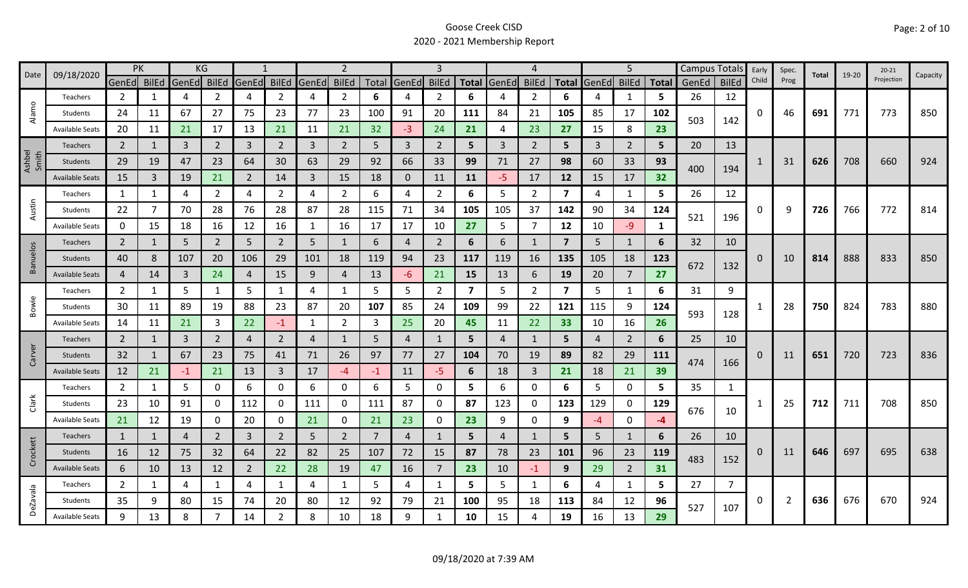| Date            | 09/18/2020             |                | <b>PK</b>    |                | KG             |                |                |       | $\overline{2}$ |                | 3            |                |     | 4              |                | 5                       |                | Campus Totals  |              | Early | Spec.          | Total | 19-20 | $20 - 21$ | Capacity |            |     |  |
|-----------------|------------------------|----------------|--------------|----------------|----------------|----------------|----------------|-------|----------------|----------------|--------------|----------------|-----|----------------|----------------|-------------------------|----------------|----------------|--------------|-------|----------------|-------|-------|-----------|----------|------------|-----|--|
|                 |                        | GenEd BilEd    |              | GenEd BilEd    |                | GenEd          | <b>BilEd</b>   | GenEd | <b>BilEd</b>   |                | Total GenEd  | <b>BilEd</b>   |     | Total GenEd    | <b>BilEd</b>   | <b>Total</b>            | GenEd BilEd    |                | <b>Total</b> | GenEd | <b>BilEd</b>   | Child | Prog  |           |          | Projection |     |  |
|                 | Teachers               | 2              | 1            | 4              | 2              | 4              | $\overline{2}$ | 4     | $\overline{2}$ | 6              | 4            | 2              | 6   |                | 2              | 6                       |                | 1              | 5            | 26    | 12             |       |       |           |          |            |     |  |
| Alamo           | Students               | 24             | 11           | 67             | 27             | 75             | 23             | 77    | 23             | 100            | 91           | 20             | 111 | 84             | 21             | 105                     | 85             | 17             | 102          | 503   | 142            | 0     | 46    | 691       | 771      | 773        | 850 |  |
|                 | <b>Available Seats</b> | 20             | 11           | 21             | 17             | 13             | 21             | 11    | 21             | 32             | $-3$         | 24             | 21  | 4              | 23             | 27                      | 15             | 8              | 23           |       |                |       |       |           |          |            |     |  |
|                 | <b>Teachers</b>        | $\overline{2}$ |              | $\overline{3}$ | $\overline{2}$ | $\overline{3}$ | $\overline{2}$ | 3     | $\overline{2}$ | 5              | 3            | $\overline{2}$ | 5   | $\mathbf{3}$   | $\overline{2}$ | 5                       | $\overline{3}$ | $\overline{2}$ | 5            | 20    | 13             |       |       |           |          |            |     |  |
| Ashbel<br>Smith | Students               | 29             | 19           | 47             | 23             | 64             | 30             | 63    | 29             | 92             | 66           | 33             | 99  | 71             | 27             | 98                      | 60             | 33             | 93           | 400   | 194            |       | 31    | 626       | 708      | 660        | 924 |  |
|                 | <b>Available Seats</b> | 15             | 3            | 19             | 21             | $\overline{2}$ | 14             | 3     | 15             | 18             | $\mathbf{0}$ | 11             | 11  | $-5$           | 17             | 12                      | 15             | 17             | 32           |       |                |       |       |           |          |            |     |  |
|                 | Teachers               | 1              | 1            | 4              | 2              | 4              | $\overline{2}$ | 4     | $\overline{2}$ | 6              | 4            | $\overline{2}$ | 6   | 5              | $\overline{2}$ | $\overline{\mathbf{z}}$ | 4              | 1              | 5            | 26    | 12             |       |       |           |          |            |     |  |
| Austin          | Students               | 22             | 7            | 70             | 28             | 76             | 28             | 87    | 28             | 115            | 71           | 34             | 105 | 105            | 37             | 142                     | 90             | 34             | 124          | 521   | 196            | 0     | 9     | 726       | 766      | 772        | 814 |  |
|                 | <b>Available Seats</b> | 0              | 15           | 18             | 16             | 12             | 16             | 1     | 16             | 17             | 17           | 10             | 27  | 5              | 7              | 12                      | 10             | $-9$           | 1            |       |                |       |       |           |          |            |     |  |
|                 | <b>Teachers</b>        | $\overline{2}$ | 1            | 5              | $\overline{2}$ | 5              | $\overline{2}$ | 5     | $\mathbf{1}$   | 6              | 4            | $\overline{2}$ | 6   | 6              | 1              | $\overline{7}$          | 5              | 1              | 6            | 32    | 10             |       |       |           |          |            |     |  |
| Banuelos        | Students               | 40             | 8            | 107            | 20             | 106            | 29             | 101   | 18             | 119            | 94           | 23             | 117 | 119            | 16             | 135                     | 105            | 18             | 123          |       |                | 0     | 10    | 814       | 888      | 833        | 850 |  |
|                 | <b>Available Seats</b> | 4              | 14           | 3              | 24             | 4              | 15             | 9     | 4              | 13             | -6           | 21             | 15  | 13             | 6              | 19                      | 20             | $\overline{7}$ | 27           | 672   | 132            |       |       |           |          |            |     |  |
|                 | Teachers               | $\overline{2}$ | 1            | 5              |                | 5              | $\mathbf{1}$   | 4     | $\mathbf{1}$   | 5              | 5            | $\overline{2}$ | 7   | 5              | $\overline{2}$ | 7                       | 5              | $\mathbf{1}$   | 6            | 31    | 9              |       |       |           |          |            |     |  |
| Bowie           | Students               | 30             | 11           | 89             | 19             | 88             | 23             | 87    | 20             | 107            | 85           | 24             | 109 | 99             | 22             | 121                     | 115            | 9              | 124          | 593   | 128            |       | 28    | 750       | 824      | 783        | 880 |  |
|                 | <b>Available Seats</b> | 14             | 11           | 21             | 3              | 22             | $-1$           | 1     | $\overline{2}$ | 3              | 25           | 20             | 45  | 11             | 22             | 33                      | 10             | 16             | 26           |       |                |       |       |           |          |            |     |  |
|                 | Teachers               | $\overline{2}$ | $\mathbf{1}$ | 3              | $\overline{2}$ | $\overline{4}$ | $\overline{2}$ | 4     | 1              | 5              | 4            |                | 5   | 4              | 1              | 5                       | 4              | $\overline{2}$ | 6            | 25    |                | 10    |       |           |          |            |     |  |
| Carver          | Students               | 32             | 1            | 67             | 23             | 75             | 41             | 71    | 26             | 97             | 77           | 27             | 104 | 70             | 19             | 89                      | 82             | 29             | <b>111</b>   | 474   | 166            | 0     | 11    | 651       | 720      | 723        | 836 |  |
|                 | <b>Available Seats</b> | 12             | 21           | $-1$           | 21             | 13             | $\mathbf{3}$   | 17    | $-4$           | $-1$           | 11           | $-5$           | 6   | 18             | 3              | 21                      | 18             | 21             | 39           |       |                |       |       |           |          |            |     |  |
|                 | Teachers               | $\overline{2}$ | 1            | 5              | $\mathbf 0$    | 6              | 0              | 6     | 0              | 6              | 5.           | 0              | 5   | 6              | 0              | 6                       | 5              | $\mathbf 0$    | 5            | 35    | 1              |       |       |           |          |            |     |  |
| Clark           | Students               | 23             | 10           | 91             | 0              | 112            | $\mathbf{0}$   | 111   | 0              | 111            | 87           | 0              | 87  | 123            | 0              | 123                     | 129            | 0              | 129          | 676   | 10             |       | 25    | 712       | 711      | 708        | 850 |  |
|                 | <b>Available Seats</b> | 21             | 12           | 19             | 0              | 20             | 0              | 21    | $\mathbf 0$    | 21             | 23           | 0              | 23  | 9              | 0              | 9                       | -4             | $\mathbf 0$    | $-4$         |       |                |       |       |           |          |            |     |  |
|                 | Teachers               | $\mathbf{1}$   | 1            | $\overline{4}$ | $\overline{2}$ | 3              | $\overline{2}$ | 5     | $\overline{2}$ | $\overline{7}$ | 4            |                | 5   | $\overline{4}$ | $\mathbf{1}$   | 5                       | 5              | 1              | 6            | 26    | 10             |       |       |           |          |            |     |  |
| Crockett        | Students               | 16             | 12           | 75             | 32             | 64             | 22             | 82    | 25             | 107            | 72           | 15             | 87  | 78             | 23             | 101                     | 96             | 23             | 119          | 483   |                | 0     | 11    | 646       | 697      | 695        | 638 |  |
|                 | <b>Available Seats</b> | 6              | 10           | 13             | 12             | $\overline{2}$ | 22             | 28    | 19             | 47             | 16           | $\overline{7}$ | 23  | 10             | $-1$           | 9                       | 29             | $\overline{2}$ | 31           |       | 152            |       |       |           |          |            |     |  |
|                 | Teachers               | $\overline{2}$ | 1            | 4              | $\mathbf{1}$   | 4              | $\mathbf{1}$   | 4     | $\mathbf{1}$   | 5              | 4            | 1              | 5   | 5              | 1              | 6                       | 4              | $\mathbf{1}$   | 5.           | 27    | $\overline{7}$ |       |       |           |          |            |     |  |
| <b>DeZavala</b> | Students               | 35             | 9            | 80             | 15             | 74             | 20             | 80    | 12             | 92             | 79           | 21             | 100 | 95             | 18             | 113                     | 84             | 12             | 96           | 527   | 107            | 0     | 2     | 636       | 676      | 670        | 924 |  |
|                 | <b>Available Seats</b> | 9              | 13           | 8              |                | 14             | $\overline{2}$ | 8     | 10             | 18             | 9            |                | 10  | 15             | 4              | 19                      | 16             | 13             | 29           |       |                |       |       |           |          |            |     |  |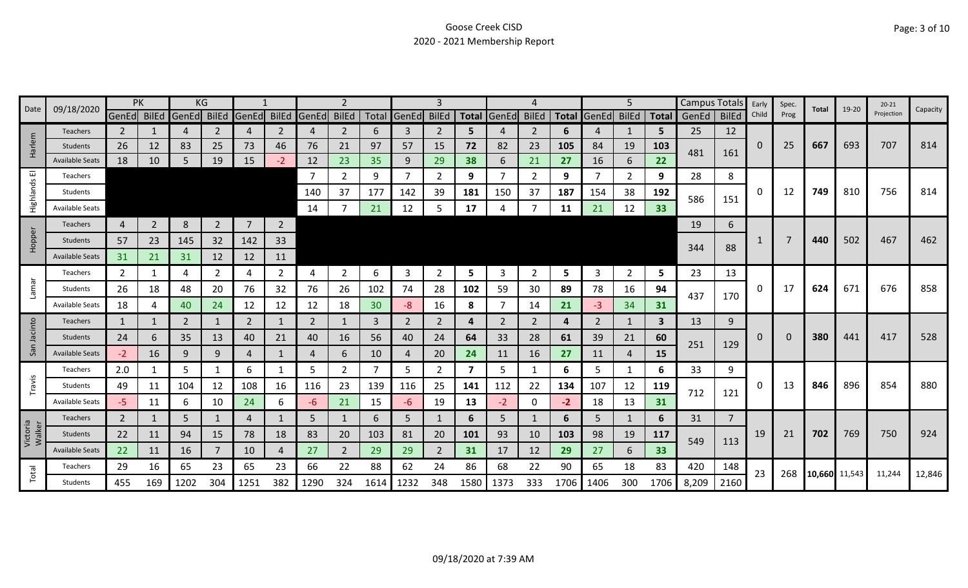| Date               | 09/18/2020             |                | PK             | KG    |                |                |                |                |                |      | 3              |                |      |             |                |      |                   | 5              |            |             | Campus Totals<br>Early |       | Spec. | Total         | 19-20 | $20 - 21$  | Capacity |
|--------------------|------------------------|----------------|----------------|-------|----------------|----------------|----------------|----------------|----------------|------|----------------|----------------|------|-------------|----------------|------|-------------------|----------------|------------|-------------|------------------------|-------|-------|---------------|-------|------------|----------|
|                    |                        | GenEd BilEd    |                | GenEd | <b>BilEd</b>   | GenEd          | <b>BilEd</b>   | GenEd BilEd    |                |      | Total GenEd    | <b>BilEd</b>   |      | Total GenEd | <b>BilEd</b>   |      | Total GenEd BilEd |                |            | Total GenEd | <b>BilEd</b>           | Child | Prog  |               |       | Projection |          |
|                    | <b>Teachers</b>        | $\mathbf{2}$   |                | 4     | 2              | 4              | 2              | 4              | $\overline{2}$ | 6    | 3              | 2              | 5.   |             | $\overline{2}$ | 6    | 4                 |                | 5          | 25          | 12                     |       |       |               |       |            |          |
| Harlem             | Students               | 26             | 12             | 83    | 25             | 73             | 46             | 76             | 21             | 97   | 57             | 15             | 72   | 82          | 23             | 105  | 84                | 19             | 103        | 481         | 161                    | 0     | 25    | 667           | 693   | 707        | 814      |
|                    | <b>Available Seats</b> | 18             | 10             | 5     | 19             | 15             | $-2$           | 12             | 23             | 35   | 9              | 29             | 38   | 6           | 21             | 27   | 16                | 6              | 22         |             |                        |       |       |               |       |            |          |
| ш                  | Teachers               |                |                |       |                |                |                | $\overline{7}$ | $\overline{2}$ | 9    | $\overline{7}$ | $\overline{2}$ | 9    |             | 2              | 9    | -7                | $\overline{2}$ | 9          | 28          | 8                      |       |       |               |       |            |          |
| Highlands          | Students               |                |                |       |                |                |                | 140            | 37             | 177  | 142            | 39             | 181  | 150         | 37             | 187  | 154               | 38             | 192        | 586         | 151                    | 0     | 12    | 749           | 810   | 756        | 814      |
|                    | <b>Available Seats</b> |                |                |       |                |                |                | 14             |                | 21   | 12             | 5              | 17   |             |                | 11   | 21                | 12             | 33         |             |                        |       |       |               |       |            |          |
|                    | Teachers               | 4              | $\overline{2}$ | 8     | $\overline{2}$ | $\overline{7}$ | $\overline{2}$ |                |                |      |                |                |      |             |                |      |                   |                |            | 19          | 6                      |       |       |               |       |            |          |
| Hopper             | Students               | 57             | 23             | 145   | 32             | 142            | 33             |                |                |      |                |                |      |             |                |      |                   |                |            |             |                        |       |       | 440           | 502   | 467        | 462      |
|                    | <b>Available Seats</b> | 31             | 21             | 31    | 12             | 12             | 11             |                |                |      |                |                |      |             |                |      |                   |                |            | 344         | 88                     |       |       |               |       |            |          |
|                    | Teachers               | 2              | 1              | 4     | 2              | 4              | $\overline{2}$ | 4              | $\overline{2}$ | 6    | 3              | 2              | 5    | 3           | 2              | 5    | 3                 | $\overline{2}$ | 5          | 23          | 13                     |       |       |               |       |            |          |
| <b>Lamar</b>       | Students               | 26             | 18             | 48    | 20             | 76             | 32             | 76             | 26             | 102  | 74             | 28             | 102  | 59          | 30             | 89   | 78                | 16             | 94         | 437         |                        | 0     | 17    | 624           | 671   | 676        | 858      |
|                    | <b>Available Seats</b> | 18             | 4              | 40    | 24             | 12             | 12             | 12             | 18             | 30   | $-8$           | 16             | 8    |             | 14             | 21   | -3                | 34             | 31         |             | 170                    |       |       |               |       |            |          |
|                    | <b>Teachers</b>        | 1              | 1              | 2     | 1              | 2              | 1              | 2              | $\mathbf{1}$   | 3    | 2              | $\overline{2}$ | 4    | 2           | 2              | 4    | 2                 | 1              | 3          | 13          | 9                      |       |       |               |       |            |          |
| Jacinto            | Students               | 24             | 6              | 35    | 13             | 40             | 21             | 40             | 16             | 56   | 40             | 24             | 64   | 33          | 28             | 61   | 39                | 21             | 60         |             |                        | 0     | 0     | 380           | 441   | 417        | 528      |
| San                | <b>Available Seats</b> | $-2$           | 16             | 9     | 9              | 4              | 1              | 4              | 6              | 10   | 4              | 20             | 24   | 11          | 16             | 27   | 11                | 4              | <b>15</b>  | 251         | 129                    |       |       |               |       |            |          |
|                    | Teachers               | 2.0            | 1              | 5     |                | 6              | 1              | 5              | $\overline{2}$ | 7    | 5              | 2              | 7    | 5           |                | 6    | 5                 | 1              | 6          | 33          | 9                      |       |       |               |       |            |          |
| Travis             | Students               | 49             | 11             | 104   | 12             | 108            | 16             | 116            | 23             | 139  | 116            | 25             | 141  | 112         | 22             | 134  | 107               | 12             | 119        |             |                        | 0     | 13    | 846           | 896   | 854        | 880      |
|                    | <b>Available Seats</b> | -5             | 11             | 6     | 10             | 24             | 6              | -6             | 21             | 15   | -6             | 19             | 13   | $-2$        | $\mathbf 0$    | $-2$ | 18                | 13             | 31         | 712         | 121                    |       |       |               |       |            |          |
|                    | Teachers               | $\overline{2}$ | 1              | 5     |                | 4              |                | 5              | $\mathbf{1}$   | 6    | 5              |                | 6    | 5.          | 1              | 6    | 5                 | 1              | 6          | 31          | $\overline{7}$         |       |       |               |       |            |          |
| Victoria<br>Walker | Students               | 22             | 11             | 94    | 15             | 78             | 18             | 83             | 20             | 103  | 81             | 20             | 101  | 93          | 10             | 103  | 98                | 19             | <b>117</b> |             |                        | 19    | 21    | 702           | 769   | 750        | 924      |
|                    | <b>Available Seats</b> | 22             | 11             | 16    |                | 10             | 4              | 27             | $\overline{2}$ | 29   | 29             | $\overline{2}$ | 31   | 17          | 12             | 29   | 27                | 6              | 33         | 549         | 113                    |       |       |               |       |            |          |
|                    | Teachers               | 29             | 16             | 65    | 23             | 65             | 23             | 66             | 22             | 88   | 62             | 24             | 86   | 68          | 22             | 90   | 65                | 18             | 83         | 420         | 148                    | 23    | 268   |               |       |            |          |
| Total              | Students               | 455            | 169            | 1202  | 304            | 1251           | 382            | 1290           | 324            | 1614 | 1232           | 348            | 1580 | 1373        | 333            | 1706 | 1406              | 300            | 1706       | 8,209       | 2160                   |       |       | 10,660 11,543 |       | 11,244     | 12,846   |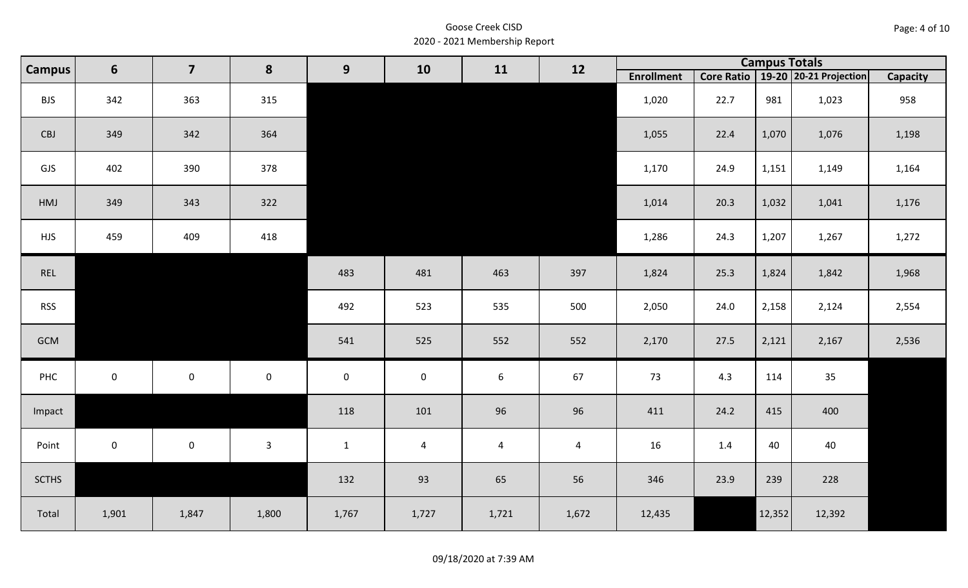| Page: 4 of 10 |  |  |  |
|---------------|--|--|--|
|---------------|--|--|--|

|              | 6<br><b>Campus</b> | $\overline{\mathbf{z}}$ | 8                   | 9            | 10             | 11             | 12             |                   |      | <b>Campus Totals</b> |                                       |                 |
|--------------|--------------------|-------------------------|---------------------|--------------|----------------|----------------|----------------|-------------------|------|----------------------|---------------------------------------|-----------------|
|              |                    |                         |                     |              |                |                |                | <b>Enrollment</b> |      |                      | Core Ratio   19-20   20-21 Projection | <b>Capacity</b> |
| <b>BJS</b>   | 342                | 363                     | 315                 |              |                |                |                | 1,020             | 22.7 | 981                  | 1,023                                 | 958             |
| CBJ          | 349                | 342                     | 364                 |              |                |                |                | 1,055             | 22.4 | 1,070                | 1,076                                 | 1,198           |
| GJS          | 402                | 390                     | 378                 |              |                |                |                | 1,170             | 24.9 | 1,151                | 1,149                                 | 1,164           |
| HMJ          | 349                | 343                     | 322                 |              |                |                |                | 1,014             | 20.3 | 1,032                | 1,041                                 | 1,176           |
| <b>HJS</b>   | 459                | 409                     | 418                 |              |                |                |                | 1,286             | 24.3 | 1,207                | 1,267                                 | 1,272           |
| REL          |                    |                         |                     | 483          | 481            | 463            | 397            | 1,824             | 25.3 | 1,824                | 1,842                                 | 1,968           |
| <b>RSS</b>   |                    |                         |                     | 492          | 523            | 535            | 500            | 2,050             | 24.0 | 2,158                | 2,124                                 | 2,554           |
| GCM          |                    |                         |                     | 541          | 525            | 552            | 552            | 2,170             | 27.5 | 2,121                | 2,167                                 | 2,536           |
| PHC          | $\mathbf 0$        | $\mathsf{O}$            | $\mathsf{O}\xspace$ | $\mathbf 0$  | $\mathbf 0$    | $6\phantom{1}$ | 67             | 73                | 4.3  | 114                  | 35                                    |                 |
| Impact       |                    |                         |                     | 118          | 101            | 96             | 96             | 411               | 24.2 | 415                  | 400                                   |                 |
| Point        | $\mathbf 0$        | $\mathsf{O}$            | $\mathbf{3}$        | $\mathbf{1}$ | $\overline{a}$ | $\overline{a}$ | $\overline{4}$ | 16                | 1.4  | 40                   | 40                                    |                 |
| <b>SCTHS</b> |                    |                         |                     | 132          | 93             | 65             | 56             | 346               | 23.9 | 239                  | 228                                   |                 |
| Total        | 1,901              | 1,847                   | 1,800               | 1,767        | 1,727          | 1,721          | 1,672          | 12,435            |      | 12,352               | 12,392                                |                 |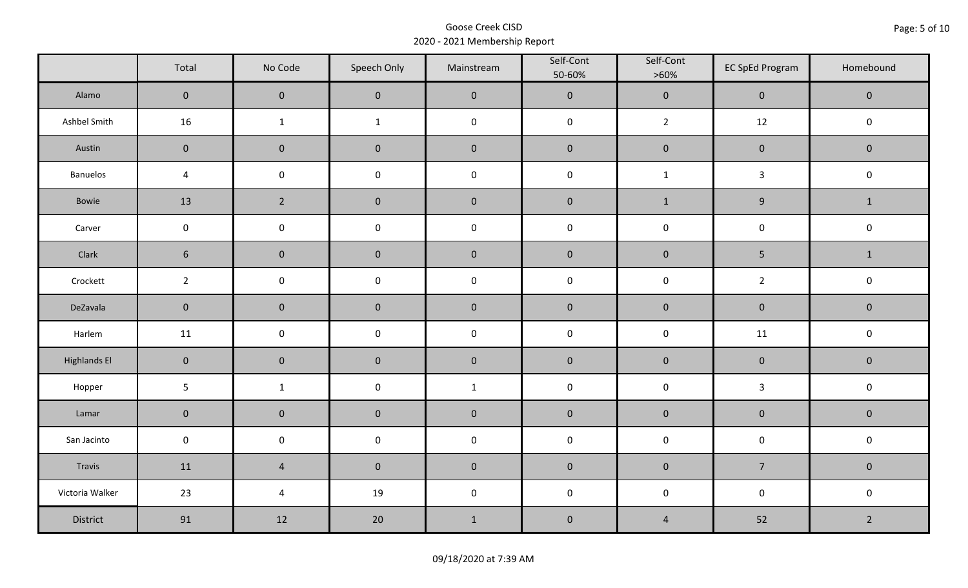|                     | Total               | No Code             | Speech Only  | Mainstream   | Self-Cont<br>50-60% | Self-Cont<br>$>60\%$ | <b>EC SpEd Program</b> | Homebound      |
|---------------------|---------------------|---------------------|--------------|--------------|---------------------|----------------------|------------------------|----------------|
| Alamo               | $\mathsf{O}\xspace$ | $\mathbf 0$         | $\mathbf 0$  | $\pmb{0}$    | $\pmb{0}$           | $\pmb{0}$            | $\pmb{0}$              | $\mathbf 0$    |
| Ashbel Smith        | 16                  | $\mathbf{1}$        | $\mathbf{1}$ | $\pmb{0}$    | $\pmb{0}$           | $2^{\circ}$          | 12                     | $\pmb{0}$      |
| Austin              | $\mathbf 0$         | $\mathbf 0$         | $\mathbf 0$  | $\pmb{0}$    | $\pmb{0}$           | $\pmb{0}$            | $\pmb{0}$              | $\pmb{0}$      |
| <b>Banuelos</b>     | $\sqrt{4}$          | $\mathsf{O}\xspace$ | $\pmb{0}$    | $\pmb{0}$    | $\pmb{0}$           | $\mathbf 1$          | $\mathbf{3}$           | $\pmb{0}$      |
| Bowie               | 13                  | $\overline{2}$      | $\pmb{0}$    | $\pmb{0}$    | $\pmb{0}$           | $\mathbf{1}$         | $\boldsymbol{9}$       | $\mathbf{1}$   |
| Carver              | $\mathsf{O}\xspace$ | $\pmb{0}$           | $\pmb{0}$    | $\pmb{0}$    | $\pmb{0}$           | $\pmb{0}$            | $\pmb{0}$              | $\pmb{0}$      |
| Clark               | $6\phantom{.}6$     | $\mathbf 0$         | $\mathbf 0$  | $\pmb{0}$    | $\pmb{0}$           | $\pmb{0}$            | 5                      | $\mathbf{1}$   |
| Crockett            | $\overline{2}$      | $\mathbf 0$         | $\mathbf 0$  | $\pmb{0}$    | $\mathsf 0$         | $\mathsf 0$          | $\overline{2}$         | $\pmb{0}$      |
| DeZavala            | $\mathbf 0$         | $\mathbf 0$         | $\mathbf 0$  | $\pmb{0}$    | $\pmb{0}$           | $\pmb{0}$            | $\pmb{0}$              | $\pmb{0}$      |
| Harlem              | 11                  | $\mathsf{O}\xspace$ | $\pmb{0}$    | $\pmb{0}$    | $\pmb{0}$           | $\pmb{0}$            | 11                     | $\pmb{0}$      |
| <b>Highlands El</b> | $\overline{0}$      | $\mathbf 0$         | $\mathbf 0$  | $\pmb{0}$    | $\pmb{0}$           | $\pmb{0}$            | $\pmb{0}$              | $\mathbf 0$    |
| Hopper              | $5\phantom{.0}$     | $\mathbf{1}$        | $\pmb{0}$    | $\mathbf{1}$ | $\pmb{0}$           | $\pmb{0}$            | $\mathbf{3}$           | $\mathsf 0$    |
| Lamar               | $\mathbf 0$         | $\pmb{0}$           | $\pmb{0}$    | $\pmb{0}$    | $\pmb{0}$           | $\pmb{0}$            | $\pmb{0}$              | $\pmb{0}$      |
| San Jacinto         | $\mathsf{O}\xspace$ | $\mathbf 0$         | $\mathbf 0$  | $\pmb{0}$    | $\pmb{0}$           | $\pmb{0}$            | $\pmb{0}$              | $\pmb{0}$      |
| Travis              | 11                  | $\sqrt{4}$          | $\mathbf 0$  | $\pmb{0}$    | $\pmb{0}$           | $\pmb{0}$            | $\overline{7}$         | $\mathbf 0$    |
| Victoria Walker     | 23                  | $\sqrt{4}$          | 19           | $\pmb{0}$    | $\pmb{0}$           | $\pmb{0}$            | $\pmb{0}$              | $\pmb{0}$      |
| District            | 91                  | 12                  | 20           | $1\,$        | $\pmb{0}$           | $\overline{4}$       | 52                     | $\overline{2}$ |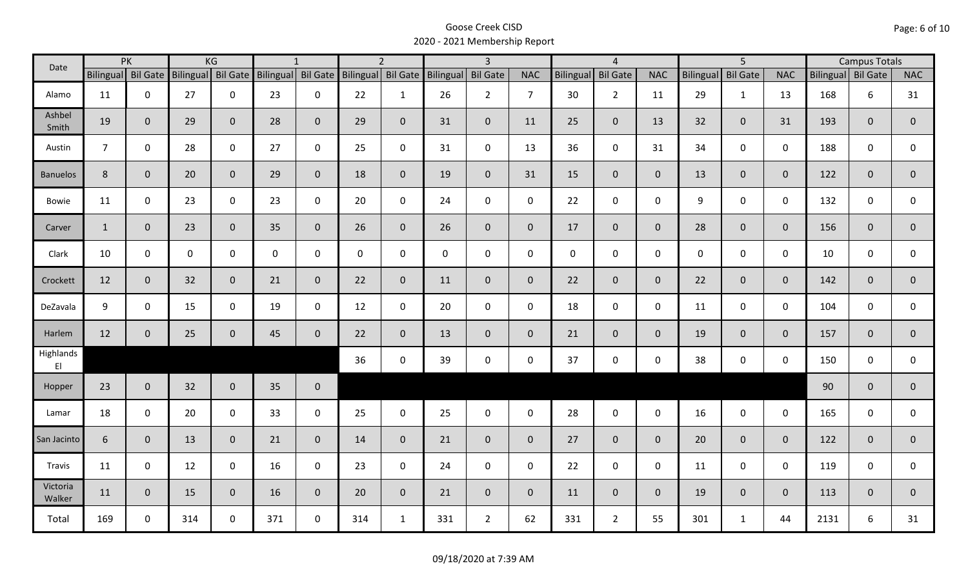| Date                                |                | PK                 |     | KG                 |                    | $\mathbf{1}$   |                    | $\overline{2}$ |           | $\overline{3}$  |                |              | $\overline{4}$  |                |                  | $\overline{5}$  |              |                    | <b>Campus Totals</b> |                |
|-------------------------------------|----------------|--------------------|-----|--------------------|--------------------|----------------|--------------------|----------------|-----------|-----------------|----------------|--------------|-----------------|----------------|------------------|-----------------|--------------|--------------------|----------------------|----------------|
|                                     |                | Bilingual Bil Gate |     | Bilingual Bil Gate | Bilingual Bil Gate |                | Bilingual Bil Gate |                | Bilingual | <b>Bil Gate</b> | <b>NAC</b>     | Bilingual    | <b>Bil Gate</b> | <b>NAC</b>     | <b>Bilingual</b> | <b>Bil Gate</b> | <b>NAC</b>   | Bilingual Bil Gate |                      | <b>NAC</b>     |
| Alamo                               | 11             | $\mathbf 0$        | 27  | $\mathbf 0$        | 23                 | $\mathbf 0$    | 22                 | $\mathbf{1}$   | 26        | $2^{\circ}$     | $\overline{7}$ | 30           | $\overline{2}$  | 11             | 29               | $\mathbf{1}$    | 13           | 168                | 6                    | 31             |
| Ashbel<br>Smith                     | 19             | $\mathbf{0}$       | 29  | $\mathbf{0}$       | 28                 | $\mathbf{0}$   | 29                 | $\overline{0}$ | 31        | $\overline{0}$  | 11             | 25           | $\mathbf 0$     | 13             | 32               | 0               | 31           | 193                | $\overline{0}$       | $\mathbf{0}$   |
| Austin                              | $\overline{7}$ | $\mathbf 0$        | 28  | $\mathbf 0$        | 27                 | $\mathbf 0$    | 25                 | $\mathbf 0$    | 31        | $\mathsf{O}$    | 13             | 36           | $\mathbf 0$     | 31             | 34               | 0               | $\mathbf 0$  | 188                | 0                    | 0              |
| <b>Banuelos</b>                     | 8              | $\mathbf{0}$       | 20  | $\overline{0}$     | 29                 | $\mathbf{0}$   | 18                 | $\overline{0}$ | 19        | $\overline{0}$  | 31             | 15           | $\mathbf{0}$    | $\overline{0}$ | 13               | $\overline{0}$  | $\mathbf{0}$ | 122                | $\mathbf{0}$         | $\mathbf{0}$   |
| Bowie                               | 11             | $\mathbf 0$        | 23  | $\mathsf{O}$       | 23                 | $\mathbf 0$    | 20                 | $\mathbf 0$    | 24        | $\mathbf 0$     | $\mathbf 0$    | 22           | $\mathbf 0$     | $\mathbf 0$    | 9                | 0               | $\mathbf 0$  | 132                | 0                    | 0              |
| Carver                              | $\mathbf{1}$   | $\mathbf{0}$       | 23  | $\mathbf{0}$       | 35                 | $\overline{0}$ | 26                 | $\overline{0}$ | 26        | $\overline{0}$  | $\mathbf 0$    | 17           | $\mathbf{0}$    | $\mathbf{0}$   | 28               | $\overline{0}$  | $\mathbf{0}$ | 156                | $\overline{0}$       | $\mathbf 0$    |
| Clark                               | 10             | $\mathbf 0$        | 0   | 0                  | 0                  | $\mathbf 0$    | $\mathbf 0$        | $\mathbf 0$    | $\pmb{0}$ | $\mathbf 0$     | $\mathbf 0$    | $\mathbf{0}$ | $\mathbf 0$     | $\mathbf 0$    | $\mathbf 0$      | 0               | $\mathbf 0$  | 10                 | 0                    | $\mathbf 0$    |
| Crockett                            | 12             | $\mathbf{0}$       | 32  | $\overline{0}$     | 21                 | $\mathbf{0}$   | 22                 | $\overline{0}$ | 11        | $\overline{0}$  | $\mathbf{0}$   | 22           | $\overline{0}$  | $\overline{0}$ | 22               | $\mathbf{0}$    | $\mathbf{0}$ | 142                | $\overline{0}$       | $\overline{0}$ |
| DeZavala                            | 9              | $\mathbf 0$        | 15  | $\mathbf 0$        | 19                 | $\mathbf 0$    | 12                 | $\mathbf 0$    | 20        | $\mathbf 0$     | $\mathbf 0$    | 18           | $\mathbf 0$     | $\mathsf{O}$   | 11               | 0               | $\mathbf 0$  | 104                | 0                    | 0              |
| Harlem                              | 12             | $\mathbf{0}$       | 25  | $\mathbf{0}$       | 45                 | $\mathbf{0}$   | 22                 | $\overline{0}$ | 13        | $\overline{0}$  | $\overline{0}$ | 21           | $\overline{0}$  | $\overline{0}$ | 19               | $\mathbf{0}$    | $\mathbf{0}$ | 157                | $\mathbf{0}$         | $\overline{0}$ |
| Highlands<br>$\mathsf{E}\mathsf{I}$ |                |                    |     |                    |                    |                | 36                 | $\mathbf 0$    | 39        | $\mathsf{O}$    | $\mathbf 0$    | 37           | $\mathbf 0$     | $\mathsf{O}$   | 38               | 0               | $\mathbf 0$  | 150                | $\mathbf 0$          | 0              |
| Hopper                              | 23             | $\overline{0}$     | 32  | $\overline{0}$     | 35                 | $\mathbf 0$    |                    |                |           |                 |                |              |                 |                |                  |                 |              | 90                 | $\mathbf{0}$         | $\overline{0}$ |
| Lamar                               | 18             | $\mathbf 0$        | 20  | $\mathbf 0$        | 33                 | $\mathbf 0$    | 25                 | $\mathbf 0$    | 25        | $\mathsf{O}$    | $\mathbf 0$    | 28           | $\mathsf 0$     | $\mathsf{O}$   | 16               | $\mathsf{O}$    | $\mathbf 0$  | 165                | 0                    | 0              |
| San Jacinto                         | 6              | $\mathbf{0}$       | 13  | $\overline{0}$     | 21                 | $\mathbf{0}$   | 14                 | $\overline{0}$ | 21        | $\overline{0}$  | $\overline{0}$ | 27           | $\overline{0}$  | $\overline{0}$ | 20               | $\overline{0}$  | $\mathbf{0}$ | 122                | $\mathbf{0}$         | $\mathbf 0$    |
| Travis                              | 11             | $\mathbf 0$        | 12  | $\mathbf 0$        | 16                 | $\mathbf 0$    | 23                 | $\mathbf 0$    | 24        | $\mathbf 0$     | $\mathbf 0$    | 22           | $\mathbf 0$     | $\mathbf 0$    | 11               | $\mathbf 0$     | $\mathbf 0$  | 119                | $\mathbf 0$          | 0              |
| Victoria<br>Walker                  | 11             | $\mathbf 0$        | 15  | $\mathbf{0}$       | 16                 | $\mathbf{0}$   | 20                 | $\overline{0}$ | 21        | $\overline{0}$  | $\mathbf 0$    | 11           | $\overline{0}$  | $\overline{0}$ | 19               | 0               | $\mathbf 0$  | 113                | $\mathbf{0}$         | $\mathbf 0$    |
| Total                               | 169            | $\mathbf 0$        | 314 | $\mathbf 0$        | 371                | $\mathbf 0$    | 314                | $\mathbf{1}$   | 331       | $2^{\circ}$     | 62             | 331          | $\overline{2}$  | 55             | 301              | $\mathbf{1}$    | 44           | 2131               | 6                    | 31             |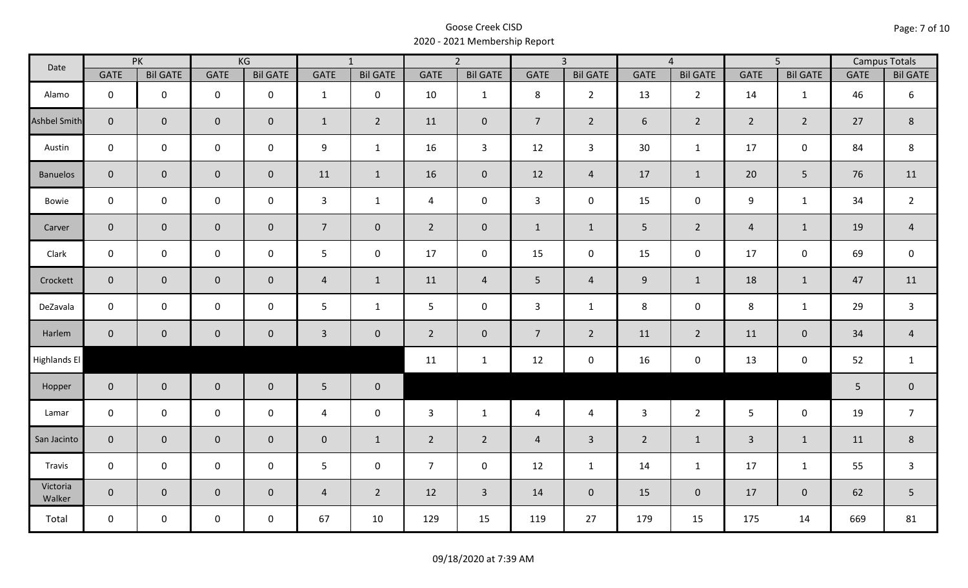| Date               | PK             |                 | KG          |                 | $\overline{1}$ |                 | $\overline{2}$ |                     | $\overline{3}$ |                 | $\overline{4}$ |                 | $\overline{5}$ |                 | <b>Campus Totals</b> |                 |
|--------------------|----------------|-----------------|-------------|-----------------|----------------|-----------------|----------------|---------------------|----------------|-----------------|----------------|-----------------|----------------|-----------------|----------------------|-----------------|
|                    | GATE           | <b>Bil GATE</b> | <b>GATE</b> | <b>Bil GATE</b> | GATE           | <b>Bil GATE</b> | <b>GATE</b>    | <b>Bil GATE</b>     | <b>GATE</b>    | <b>Bil GATE</b> | <b>GATE</b>    | <b>Bil GATE</b> | <b>GATE</b>    | <b>Bil GATE</b> | <b>GATE</b>          | <b>Bil GATE</b> |
| Alamo              | $\mathbf 0$    | $\mathbf 0$     | $\mathbf 0$ | $\mathbf 0$     | $\mathbf{1}$   | $\mathbf 0$     | 10             | $\mathbf{1}$        | 8              | $2^{\circ}$     | 13             | $\overline{2}$  | 14             | 1               | 46                   | 6               |
| Ashbel Smith       | $\overline{0}$ | $\mathbf 0$     | $\mathbf 0$ | $\overline{0}$  | $\mathbf{1}$   | $\overline{2}$  | 11             | $\mathbf 0$         | $\overline{7}$ | $2^{\circ}$     | 6              | $2^{\circ}$     | $2^{\circ}$    | $\overline{2}$  | 27                   | 8               |
| Austin             | $\mathsf{O}$   | $\mathbf 0$     | $\mathbf 0$ | $\mathbf 0$     | 9              | $\mathbf{1}$    | 16             | $\mathbf{3}$        | 12             | $\mathbf{3}$    | 30             | $\mathbf{1}$    | 17             | $\mathsf{O}$    | 84                   | 8               |
| <b>Banuelos</b>    | $\overline{0}$ | $\mathbf{0}$    | $\pmb{0}$   | $\overline{0}$  | 11             | $\mathbf{1}$    | 16             | $\mathbf 0$         | 12             | $\overline{4}$  | 17             | $\mathbf{1}$    | 20             | 5               | 76                   | 11              |
| Bowie              | $\mathbf 0$    | $\mathbf 0$     | $\mathbf 0$ | $\mathbf 0$     | $\mathbf{3}$   | $\mathbf{1}$    | $\overline{4}$ | $\mathbf 0$         | $\mathbf{3}$   | $\mathbf 0$     | 15             | $\mathsf{O}$    | 9              | $\mathbf{1}$    | 34                   | $\overline{2}$  |
| Carver             | $\overline{0}$ | $\mathbf{0}$    | $\pmb{0}$   | $\overline{0}$  | $\overline{7}$ | $\mathbf 0$     | $2^{\circ}$    | $\mathbf 0$         | $\mathbf{1}$   | $\mathbf{1}$    | 5              | $2^{\circ}$     | $\overline{4}$ | $\mathbf{1}$    | 19                   | $\overline{4}$  |
| Clark              | $\mathbf 0$    | $\mathbf 0$     | $\mathbf 0$ | $\mathbf 0$     | 5 <sub>1</sub> | $\mathbf 0$     | 17             | $\mathbf 0$         | 15             | $\mathbf 0$     | 15             | $\mathbf 0$     | 17             | $\mathbf 0$     | 69                   | $\mathsf 0$     |
| Crockett           | $\overline{0}$ | $\mathbf 0$     | $\mathbf 0$ | $\overline{0}$  | $\overline{4}$ | $\mathbf{1}$    | 11             | $\overline{4}$      | 5 <sub>1</sub> | $\overline{4}$  | $9\,$          | $\mathbf{1}$    | 18             | $\mathbf{1}$    | 47                   | 11              |
| DeZavala           | $\mathbf 0$    | $\mathbf 0$     | $\mathbf 0$ | $\mathbf 0$     | 5              | $\mathbf{1}$    | 5 <sup>1</sup> | $\mathbf 0$         | $\mathbf{3}$   | $\mathbf{1}$    | 8              | 0               | 8              | $\mathbf{1}$    | 29                   | $\mathsf{3}$    |
| Harlem             | $\overline{0}$ | $\mathbf 0$     | $\pmb{0}$   | $\mathbf 0$     | $\mathbf{3}$   | $\mathbf 0$     | $\overline{2}$ | $\mathsf{O}\xspace$ | $\overline{7}$ | $2^{\circ}$     | 11             | $2\overline{ }$ | 11             | $\mathbf 0$     | 34                   | $\sqrt{4}$      |
| Highlands El       |                |                 |             |                 |                |                 | 11             | $\mathbf{1}$        | 12             | $\mathbf 0$     | 16             | 0               | 13             | $\mathbf 0$     | 52                   | $\mathbf{1}$    |
| Hopper             | $\overline{0}$ | $\overline{0}$  | $\mathbf 0$ | $\mathbf 0$     | 5 <sub>1</sub> | $\mathbf 0$     |                |                     |                |                 |                |                 |                |                 | 5                    | $\pmb{0}$       |
| Lamar              | $\mathbf 0$    | $\mathbf 0$     | $\mathbf 0$ | $\mathbf 0$     | $\overline{4}$ | $\mathbf 0$     | $\overline{3}$ | $\mathbf{1}$        | $\overline{4}$ | $\overline{4}$  | $\mathbf{3}$   | $2^{\circ}$     | $5\phantom{.}$ | $\mathbf 0$     | 19                   | $\overline{7}$  |
| San Jacinto        | $\mathbf{0}$   | $\mathbf 0$     | $\mathbf 0$ | $\mathbf 0$     | $\overline{0}$ | $\mathbf{1}$    | $\overline{2}$ | $\overline{2}$      | $\overline{4}$ | $\overline{3}$  | $\overline{2}$ | $\mathbf{1}$    | $\mathbf{3}$   | $\mathbf{1}$    | 11                   | $\,8\,$         |
| Travis             | $\mathbf 0$    | $\mathbf 0$     | $\mathbf 0$ | $\mathbf 0$     | $5\phantom{.}$ | $\mathbf 0$     | $\overline{7}$ | $\mathbf 0$         | 12             | $\mathbf{1}$    | 14             | $\mathbf{1}$    | 17             | $\mathbf{1}$    | 55                   | $\mathsf{3}$    |
| Victoria<br>Walker | $\overline{0}$ | $\overline{0}$  | $\mathbf 0$ | $\mathbf 0$     | $\overline{4}$ | $\overline{2}$  | 12             | $\overline{3}$      | 14             | $\overline{0}$  | 15             | $\overline{0}$  | 17             | $\overline{0}$  | 62                   | 5               |
| Total              | $\mathsf{O}$   | $\mathbf 0$     | $\mathbf 0$ | $\mathbf 0$     | 67             | 10              | 129            | 15                  | 119            | 27              | 179            | 15              | 175            | 14              | 669                  | 81              |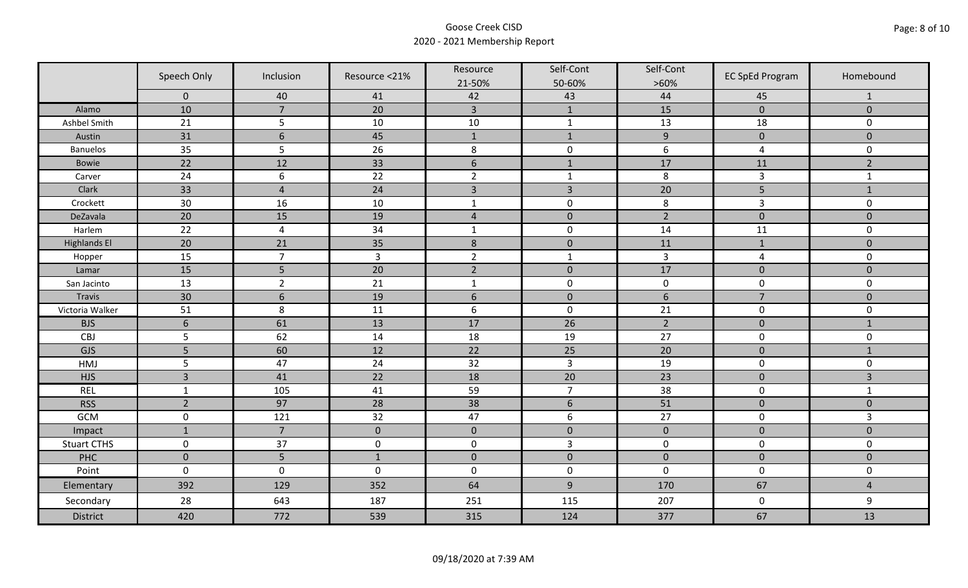|                     | Speech Only     | Inclusion       | Resource <21%  | Resource<br>21-50% | Self-Cont<br>50-60% | Self-Cont<br>$>60\%$ | <b>EC SpEd Program</b> | Homebound      |
|---------------------|-----------------|-----------------|----------------|--------------------|---------------------|----------------------|------------------------|----------------|
|                     | $\mathbf 0$     | 40              | 41             | 42                 | 43                  | 44                   | 45                     | $\mathbf{1}$   |
| Alamo               | 10              | $\overline{7}$  | 20             | $\overline{3}$     | $\mathbf{1}$        | 15                   | $\pmb{0}$              | $\mathbf 0$    |
| Ashbel Smith        | 21              | 5               | 10             | $10\,$             | $\mathbf{1}$        | 13                   | 18                     | 0              |
| Austin              | 31              | $6\phantom{1}6$ | 45             | $\mathbf{1}$       | $\mathbf{1}$        | $\overline{9}$       | $\pmb{0}$              | $\overline{0}$ |
| <b>Banuelos</b>     | 35              | 5               | 26             | $\,8\,$            | $\pmb{0}$           | 6                    | $\overline{a}$         | 0              |
| <b>Bowie</b>        | 22              | 12              | 33             | $\boldsymbol{6}$   | $1\,$               | 17                   | 11                     | $\overline{2}$ |
| Carver              | 24              | 6               | 22             | $\overline{2}$     | $\mathbf{1}$        | 8                    | $\overline{3}$         | $\mathbf{1}$   |
| Clark               | 33              | $\overline{4}$  | 24             | $\overline{3}$     | $\overline{3}$      | 20                   | 5                      | $1\,$          |
| Crockett            | 30              | 16              | 10             | $\mathbf{1}$       | $\pmb{0}$           | 8                    | 3                      | 0              |
| DeZavala            | 20              | 15              | 19             | $\sqrt{4}$         | $\pmb{0}$           | $\overline{2}$       | $\pmb{0}$              | $\overline{0}$ |
| Harlem              | 22              | $\overline{4}$  | 34             | $\mathbf 1$        | $\pmb{0}$           | 14                   | 11                     | 0              |
| <b>Highlands El</b> | 20              | 21              | 35             | $\,$ 8 $\,$        | $\pmb{0}$           | 11                   | $1\,$                  | $\overline{0}$ |
| Hopper              | 15              | $\overline{7}$  | $\overline{3}$ | $\overline{2}$     | $\mathbf{1}$        | $\mathsf{3}$         | $\overline{a}$         | 0              |
| Lamar               | 15              | 5               | 20             | $\overline{2}$     | $\pmb{0}$           | 17                   | $\pmb{0}$              | $\mathbf 0$    |
| San Jacinto         | 13              | $\overline{2}$  | 21             | $\mathbf{1}$       | $\pmb{0}$           | $\pmb{0}$            | $\mathbf 0$            | 0              |
| Travis              | 30              | $6\,$           | 19             | $6\,$              | $\pmb{0}$           | $\sqrt{6}$           | $\overline{7}$         | $\mathbf 0$    |
| Victoria Walker     | 51              | 8               | 11             | $\boldsymbol{6}$   | $\pmb{0}$           | 21                   | $\pmb{0}$              | 0              |
| <b>BJS</b>          | $6\phantom{1}6$ | 61              | 13             | 17                 | 26                  | $\overline{2}$       | $\pmb{0}$              | $\mathbf{1}$   |
| CBJ                 | 5               | 62              | 14             | 18                 | 19                  | 27                   | $\pmb{0}$              | 0              |
| GJS                 | 5               | 60              | 12             | 22                 | 25                  | 20                   | $\mathbf 0$            | $\mathbf{1}$   |
| HMJ                 | 5               | 47              | 24             | 32                 | $\overline{3}$      | 19                   | $\pmb{0}$              | 0              |
| <b>HJS</b>          | $\overline{3}$  | 41              | 22             | 18                 | 20                  | 23                   | $\pmb{0}$              | 3              |
| <b>REL</b>          | $\mathbf{1}$    | 105             | 41             | 59                 | $\overline{7}$      | 38                   | $\pmb{0}$              | $\mathbf{1}$   |
| <b>RSS</b>          | $\overline{2}$  | 97              | 28             | 38                 | $\sqrt{6}$          | 51                   | $\pmb{0}$              | $\overline{0}$ |
| GCM                 | $\pmb{0}$       | 121             | 32             | 47                 | $\boldsymbol{6}$    | 27                   | $\pmb{0}$              | $\overline{3}$ |
| Impact              | $\mathbf{1}$    | $\overline{7}$  | $\mathbf{0}$   | $\mathbf 0$        | $\mathbf 0$         | $\pmb{0}$            | $\mathbf 0$            | $\overline{0}$ |
| <b>Stuart CTHS</b>  | $\mathsf 0$     | 37              | $\pmb{0}$      | $\pmb{0}$          | $\overline{3}$      | $\pmb{0}$            | $\pmb{0}$              | 0              |
| PHC                 | $\mathbf 0$     | 5               | $1\,$          | $\pmb{0}$          | $\pmb{0}$           | $\pmb{0}$            | $\pmb{0}$              | $\pmb{0}$      |
| Point               | $\mathbf 0$     | $\mathbf 0$     | $\mathbf 0$    | $\boldsymbol{0}$   | $\pmb{0}$           | $\mathbf 0$          | $\pmb{0}$              | 0              |
| Elementary          | 392             | 129             | 352            | 64                 | $9\,$               | 170                  | 67                     | $\overline{4}$ |
| Secondary           | 28              | 643             | 187            | 251                | 115                 | 207                  | $\mathbf 0$            | 9              |
| <b>District</b>     | 420             | 772             | 539            | 315                | 124                 | 377                  | 67                     | 13             |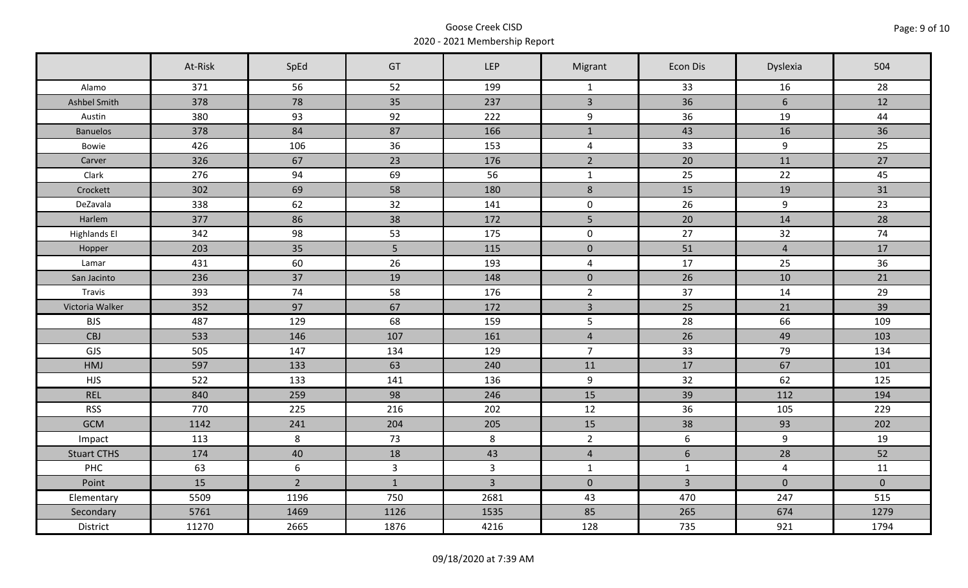|                     | At-Risk | SpEd           | GT             | <b>LEP</b>              | Migrant        | Econ Dis        | Dyslexia       | 504         |
|---------------------|---------|----------------|----------------|-------------------------|----------------|-----------------|----------------|-------------|
| Alamo               | 371     | 56             | 52             | 199                     | $\mathbf{1}$   | 33              | 16             | 28          |
| Ashbel Smith        | 378     | 78             | 35             | 237                     | $\overline{3}$ | 36              | 6              | 12          |
| Austin              | 380     | 93             | 92             | 222                     | 9              | 36              | 19             | 44          |
| <b>Banuelos</b>     | 378     | 84             | 87             | 166                     | $\mathbf{1}$   | 43              | 16             | 36          |
| Bowie               | 426     | 106            | 36             | 153                     | $\overline{a}$ | 33              | 9              | 25          |
| Carver              | 326     | 67             | 23             | 176                     | $\overline{2}$ | 20              | 11             | 27          |
| Clark               | 276     | 94             | 69             | 56                      | $\mathbf{1}$   | 25              | 22             | 45          |
| Crockett            | 302     | 69             | 58             | 180                     | $\,8\,$        | 15              | 19             | 31          |
| DeZavala            | 338     | 62             | 32             | 141                     | $\mathsf{O}$   | 26              | 9              | 23          |
| Harlem              | 377     | 86             | 38             | 172                     | 5              | 20              | 14             | 28          |
| <b>Highlands El</b> | 342     | 98             | 53             | 175                     | $\mathbf 0$    | 27              | 32             | 74          |
| Hopper              | 203     | 35             | 5              | 115                     | $\mathbf 0$    | 51              | $\overline{4}$ | 17          |
| Lamar               | 431     | 60             | 26             | 193                     | $\overline{4}$ | 17              | 25             | 36          |
| San Jacinto         | 236     | 37             | 19             | 148                     | $\overline{0}$ | 26              | 10             | 21          |
| Travis              | 393     | 74             | 58             | 176                     | $\overline{2}$ | 37              | 14             | 29          |
| Victoria Walker     | 352     | 97             | 67             | 172                     | $\mathbf{3}$   | 25              | 21             | 39          |
| <b>BJS</b>          | 487     | 129            | 68             | 159                     | 5              | 28              | 66             | 109         |
| <b>CBJ</b>          | 533     | 146            | 107            | 161                     | $\overline{4}$ | 26              | 49             | 103         |
| GJS                 | 505     | 147            | 134            | 129                     | $\overline{7}$ | 33              | 79             | 134         |
| HMJ                 | 597     | 133            | 63             | 240                     | 11             | 17              | 67             | 101         |
| <b>HJS</b>          | 522     | 133            | 141            | 136                     | 9              | 32              | 62             | 125         |
| <b>REL</b>          | 840     | 259            | 98             | 246                     | 15             | 39              | 112            | 194         |
| <b>RSS</b>          | 770     | 225            | 216            | 202                     | 12             | 36              | 105            | 229         |
| <b>GCM</b>          | 1142    | 241            | 204            | 205                     | 15             | 38              | 93             | 202         |
| Impact              | 113     | 8              | 73             | 8                       | $2^{\circ}$    | $6\phantom{.}6$ | $\overline{9}$ | 19          |
| <b>Stuart CTHS</b>  | 174     | 40             | 18             | 43                      | $\overline{4}$ | 6               | 28             | 52          |
| <b>PHC</b>          | 63      | 6              | $\overline{3}$ | $\overline{\mathbf{3}}$ | $\mathbf{1}$   | $\mathbf{1}$    | $\overline{4}$ | 11          |
| Point               | 15      | $\overline{2}$ | $\mathbf{1}$   | $\overline{3}$          | $\overline{0}$ | $\overline{3}$  | $\mathbf 0$    | $\mathbf 0$ |
| Elementary          | 5509    | 1196           | 750            | 2681                    | 43             | 470             | 247            | 515         |
| Secondary           | 5761    | 1469           | 1126           | 1535                    | 85             | 265             | 674            | 1279        |
| District            | 11270   | 2665           | 1876           | 4216                    | 128            | 735             | 921            | 1794        |